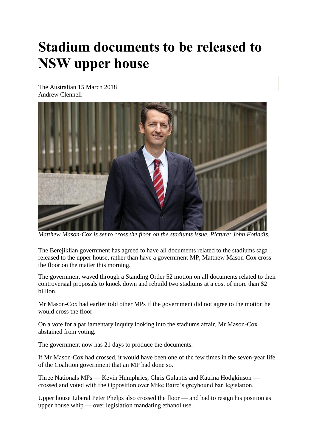## **Stadium documents to be released to NSW upper house**

The Australian 15 March 2018 Andrew Clennell



*Matthew Mason-Cox is set to cross the floor on the stadiums issue. Picture: John Fotiadis.*

The Berejiklian government has agreed to have all documents related to the stadiums saga released to the upper house, rather than have a government MP, Matthew Mason-Cox cross the floor on the matter this morning.

The government waved through a Standing Order 52 motion on all documents related to their controversial proposals to knock down and rebuild two stadiums at a cost of more than \$2 billion.

Mr Mason-Cox had earlier told other MPs if the government did not agree to the motion he would cross the floor.

On a vote for a parliamentary inquiry looking into the stadiums affair, Mr Mason-Cox abstained from voting.

The government now has 21 days to produce the documents.

If Mr Mason-Cox had crossed, it would have been one of the few times in the seven-year life of the Coalition government that an MP had done so.

Three Nationals MPs — Kevin Humphries, Chris Gulaptis and Katrina Hodgkinson crossed and voted with the Opposition over Mike Baird's greyhound ban legislation.

Upper house Liberal Peter Phelps also crossed the floor — and had to resign his position as upper house whip — over legislation mandating ethanol use.